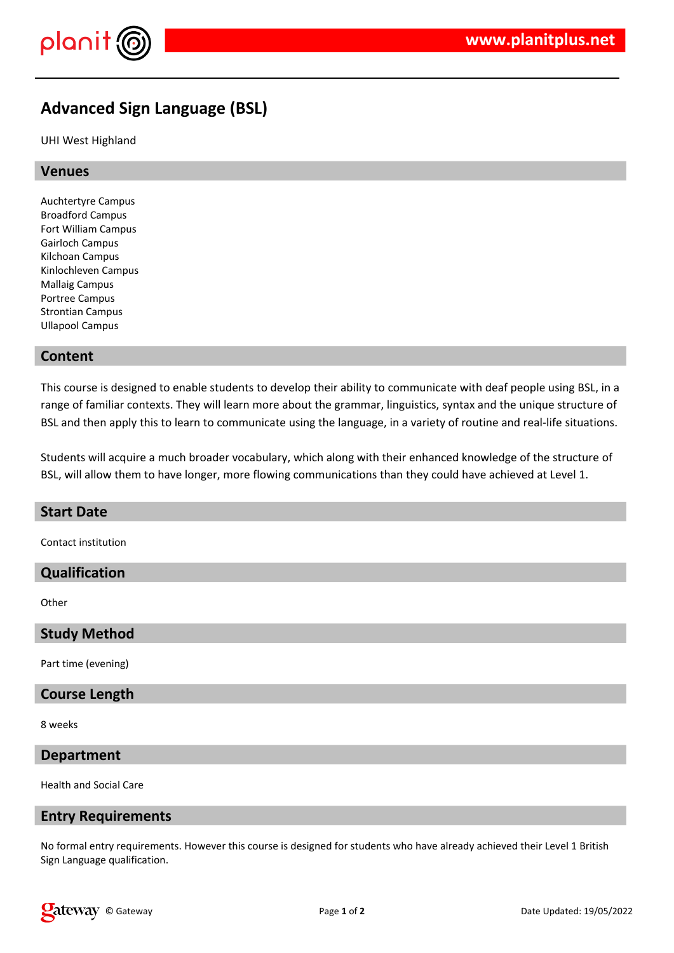

# **Advanced Sign Language (BSL)**

UHI West Highland

## **Venues**

Auchtertyre Campus Broadford Campus Fort William Campus Gairloch Campus Kilchoan Campus Kinlochleven Campus Mallaig Campus Portree Campus Strontian Campus Ullapool Campus

## **Content**

This course is designed to enable students to develop their ability to communicate with deaf people using BSL, in a range of familiar contexts. They will learn more about the grammar, linguistics, syntax and the unique structure of BSL and then apply this to learn to communicate using the language, in a variety of routine and real-life situations.

Students will acquire a much broader vocabulary, which along with their enhanced knowledge of the structure of BSL, will allow them to have longer, more flowing communications than they could have achieved at Level 1.

#### **Start Date**

Contact institution

### **Qualification**

**Other** 

**Study Method**

Part time (evening)

#### **Course Length**

8 weeks

#### **Department**

Health and Social Care

#### **Entry Requirements**

No formal entry requirements. However this course is designed for students who have already achieved their Level 1 British Sign Language qualification.